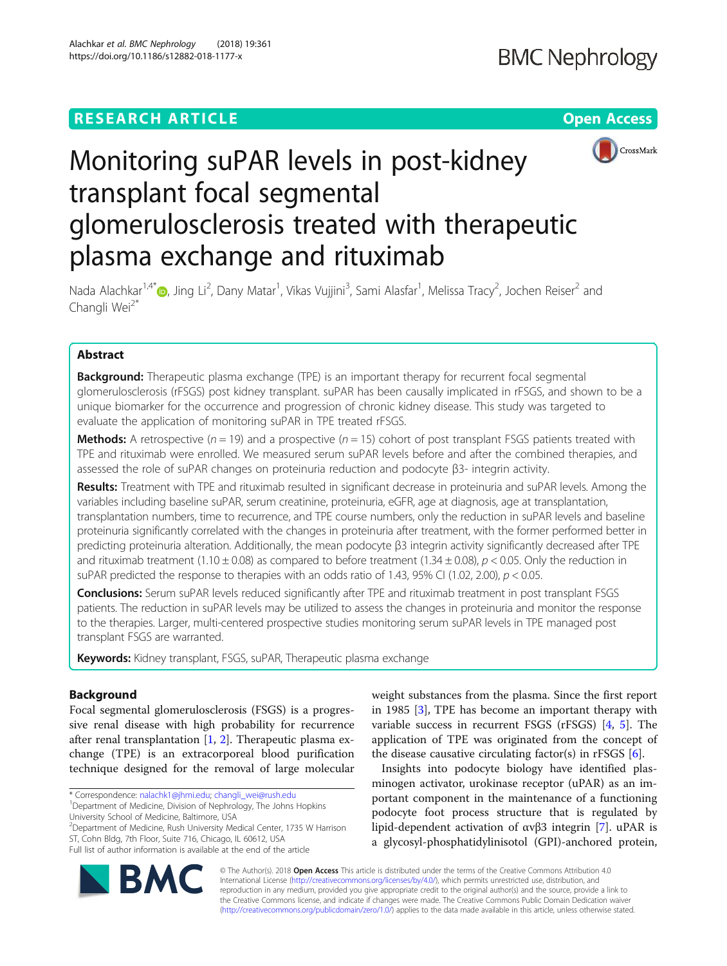# **RESEARCH ARTICLE Example 2018 12:30 THE Open Access**



# Monitoring suPAR levels in post-kidney transplant focal segmental glomerulosclerosis treated with therapeutic plasma exchange and rituximab

Nada Alachkar<sup>1,4</sup>[\\*](http://orcid.org/0000-0003-1249-2455)@, Jing Li<sup>2</sup>, Dany Matar<sup>1</sup>, Vikas Vujjini<sup>3</sup>, Sami Alasfar<sup>1</sup>, Melissa Tracy<sup>2</sup>, Jochen Reiser<sup>2</sup> and Changli Wei<sup>2\*</sup>

# Abstract

**Background:** Therapeutic plasma exchange (TPE) is an important therapy for recurrent focal segmental glomerulosclerosis (rFSGS) post kidney transplant. suPAR has been causally implicated in rFSGS, and shown to be a unique biomarker for the occurrence and progression of chronic kidney disease. This study was targeted to evaluate the application of monitoring suPAR in TPE treated rFSGS.

**Methods:** A retrospective ( $n = 19$ ) and a prospective ( $n = 15$ ) cohort of post transplant FSGS patients treated with TPE and rituximab were enrolled. We measured serum suPAR levels before and after the combined therapies, and assessed the role of suPAR changes on proteinuria reduction and podocyte β3- integrin activity.

Results: Treatment with TPE and rituximab resulted in significant decrease in proteinuria and suPAR levels. Among the variables including baseline suPAR, serum creatinine, proteinuria, eGFR, age at diagnosis, age at transplantation, transplantation numbers, time to recurrence, and TPE course numbers, only the reduction in suPAR levels and baseline proteinuria significantly correlated with the changes in proteinuria after treatment, with the former performed better in predicting proteinuria alteration. Additionally, the mean podocyte β3 integrin activity significantly decreased after TPE and rituximab treatment (1.10  $\pm$  0.08) as compared to before treatment (1.34  $\pm$  0.08),  $p$  < 0.05. Only the reduction in suPAR predicted the response to therapies with an odds ratio of 1.43, 95% CI (1.02, 2.00),  $p < 0.05$ .

Conclusions: Serum suPAR levels reduced significantly after TPE and rituximab treatment in post transplant FSGS patients. The reduction in suPAR levels may be utilized to assess the changes in proteinuria and monitor the response to the therapies. Larger, multi-centered prospective studies monitoring serum suPAR levels in TPE managed post transplant FSGS are warranted.

Keywords: Kidney transplant, FSGS, suPAR, Therapeutic plasma exchange

# Background

Focal segmental glomerulosclerosis (FSGS) is a progressive renal disease with high probability for recurrence after renal transplantation [\[1,](#page-7-0) [2](#page-7-0)]. Therapeutic plasma exchange (TPE) is an extracorporeal blood purification technique designed for the removal of large molecular

\* Correspondence: [nalachk1@jhmi.edu](mailto:nalachk1@jhmi.edu); [changli\\_wei@rush.edu](mailto:changli_wei@rush.edu)

<sup>2</sup>Department of Medicine, Rush University Medical Center, 1735 W Harrison ST, Cohn Bldg, 7th Floor, Suite 716, Chicago, IL 60612, USA Full list of author information is available at the end of the article

weight substances from the plasma. Since the first report in 1985 [\[3](#page-7-0)], TPE has become an important therapy with variable success in recurrent FSGS (rFSGS) [\[4](#page-7-0), [5\]](#page-7-0). The application of TPE was originated from the concept of the disease causative circulating factor(s) in rFSGS  $[6]$  $[6]$ .

Insights into podocyte biology have identified plasminogen activator, urokinase receptor (uPAR) as an important component in the maintenance of a functioning podocyte foot process structure that is regulated by lipid-dependent activation of αvβ3 integrin [\[7\]](#page-7-0). uPAR is a glycosyl-phosphatidylinisotol (GPI)-anchored protein,



© The Author(s). 2018 **Open Access** This article is distributed under the terms of the Creative Commons Attribution 4.0 International License [\(http://creativecommons.org/licenses/by/4.0/](http://creativecommons.org/licenses/by/4.0/)), which permits unrestricted use, distribution, and reproduction in any medium, provided you give appropriate credit to the original author(s) and the source, provide a link to the Creative Commons license, and indicate if changes were made. The Creative Commons Public Domain Dedication waiver [\(http://creativecommons.org/publicdomain/zero/1.0/](http://creativecommons.org/publicdomain/zero/1.0/)) applies to the data made available in this article, unless otherwise stated.

<sup>1</sup>Department of Medicine, Division of Nephrology, The Johns Hopkins University School of Medicine, Baltimore, USA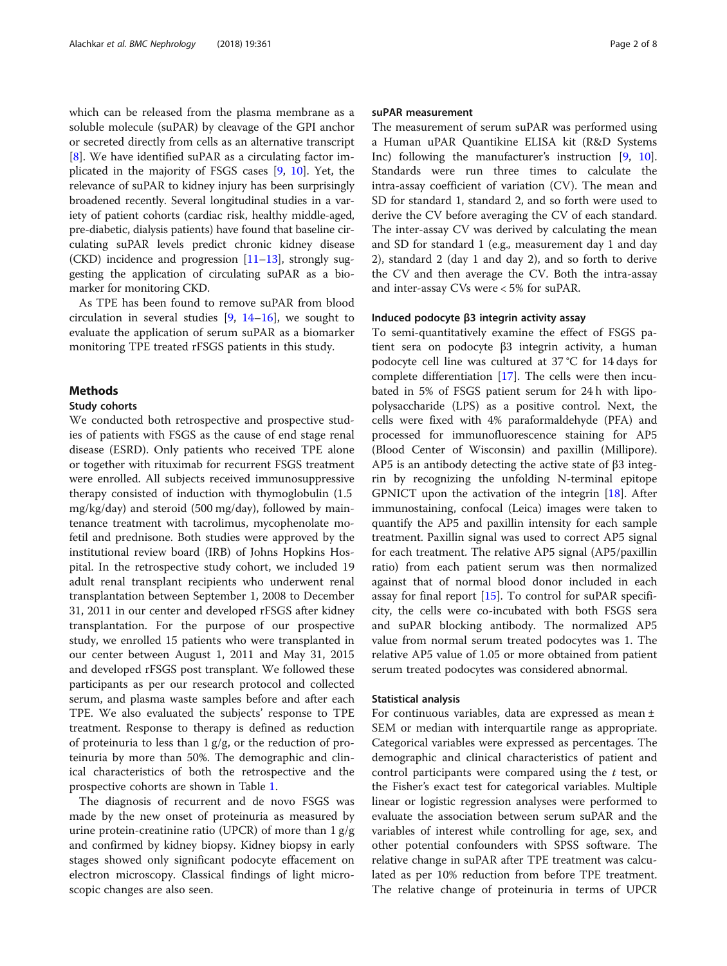which can be released from the plasma membrane as a soluble molecule (suPAR) by cleavage of the GPI anchor or secreted directly from cells as an alternative transcript [[8\]](#page-7-0). We have identified suPAR as a circulating factor implicated in the majority of FSGS cases [\[9,](#page-7-0) [10](#page-7-0)]. Yet, the relevance of suPAR to kidney injury has been surprisingly broadened recently. Several longitudinal studies in a variety of patient cohorts (cardiac risk, healthy middle-aged, pre-diabetic, dialysis patients) have found that baseline circulating suPAR levels predict chronic kidney disease (CKD) incidence and progression  $[11–13]$  $[11–13]$  $[11–13]$ , strongly suggesting the application of circulating suPAR as a biomarker for monitoring CKD.

As TPE has been found to remove suPAR from blood circulation in several studies  $[9, 14-16]$  $[9, 14-16]$  $[9, 14-16]$  $[9, 14-16]$  $[9, 14-16]$  $[9, 14-16]$ , we sought to evaluate the application of serum suPAR as a biomarker monitoring TPE treated rFSGS patients in this study.

# **Methods**

## Study cohorts

We conducted both retrospective and prospective studies of patients with FSGS as the cause of end stage renal disease (ESRD). Only patients who received TPE alone or together with rituximab for recurrent FSGS treatment were enrolled. All subjects received immunosuppressive therapy consisted of induction with thymoglobulin (1.5 mg/kg/day) and steroid (500 mg/day), followed by maintenance treatment with tacrolimus, mycophenolate mofetil and prednisone. Both studies were approved by the institutional review board (IRB) of Johns Hopkins Hospital. In the retrospective study cohort, we included 19 adult renal transplant recipients who underwent renal transplantation between September 1, 2008 to December 31, 2011 in our center and developed rFSGS after kidney transplantation. For the purpose of our prospective study, we enrolled 15 patients who were transplanted in our center between August 1, 2011 and May 31, 2015 and developed rFSGS post transplant. We followed these participants as per our research protocol and collected serum, and plasma waste samples before and after each TPE. We also evaluated the subjects' response to TPE treatment. Response to therapy is defined as reduction of proteinuria to less than 1 g/g, or the reduction of proteinuria by more than 50%. The demographic and clinical characteristics of both the retrospective and the prospective cohorts are shown in Table [1.](#page-2-0)

The diagnosis of recurrent and de novo FSGS was made by the new onset of proteinuria as measured by urine protein-creatinine ratio (UPCR) of more than 1 g/g and confirmed by kidney biopsy. Kidney biopsy in early stages showed only significant podocyte effacement on electron microscopy. Classical findings of light microscopic changes are also seen.

### suPAR measurement

The measurement of serum suPAR was performed using a Human uPAR Quantikine ELISA kit (R&D Systems Inc) following the manufacturer's instruction [\[9](#page-7-0), [10](#page-7-0)]. Standards were run three times to calculate the intra-assay coefficient of variation (CV). The mean and SD for standard 1, standard 2, and so forth were used to derive the CV before averaging the CV of each standard. The inter-assay CV was derived by calculating the mean and SD for standard 1 (e.g., measurement day 1 and day 2), standard 2 (day 1 and day 2), and so forth to derive the CV and then average the CV. Both the intra-assay and inter-assay CVs were < 5% for suPAR.

## Induced podocyte β3 integrin activity assay

To semi-quantitatively examine the effect of FSGS patient sera on podocyte β3 integrin activity, a human podocyte cell line was cultured at 37 °C for 14 days for complete differentiation [[17\]](#page-7-0). The cells were then incubated in 5% of FSGS patient serum for 24 h with lipopolysaccharide (LPS) as a positive control. Next, the cells were fixed with 4% paraformaldehyde (PFA) and processed for immunofluorescence staining for AP5 (Blood Center of Wisconsin) and paxillin (Millipore). AP5 is an antibody detecting the active state of β3 integrin by recognizing the unfolding N-terminal epitope GPNICT upon the activation of the integrin [[18](#page-7-0)]. After immunostaining, confocal (Leica) images were taken to quantify the AP5 and paxillin intensity for each sample treatment. Paxillin signal was used to correct AP5 signal for each treatment. The relative AP5 signal (AP5/paxillin ratio) from each patient serum was then normalized against that of normal blood donor included in each assay for final report  $[15]$ . To control for suPAR specificity, the cells were co-incubated with both FSGS sera and suPAR blocking antibody. The normalized AP5 value from normal serum treated podocytes was 1. The relative AP5 value of 1.05 or more obtained from patient serum treated podocytes was considered abnormal.

## Statistical analysis

For continuous variables, data are expressed as mean  $\pm$ SEM or median with interquartile range as appropriate. Categorical variables were expressed as percentages. The demographic and clinical characteristics of patient and control participants were compared using the  $t$  test, or the Fisher's exact test for categorical variables. Multiple linear or logistic regression analyses were performed to evaluate the association between serum suPAR and the variables of interest while controlling for age, sex, and other potential confounders with SPSS software. The relative change in suPAR after TPE treatment was calculated as per 10% reduction from before TPE treatment. The relative change of proteinuria in terms of UPCR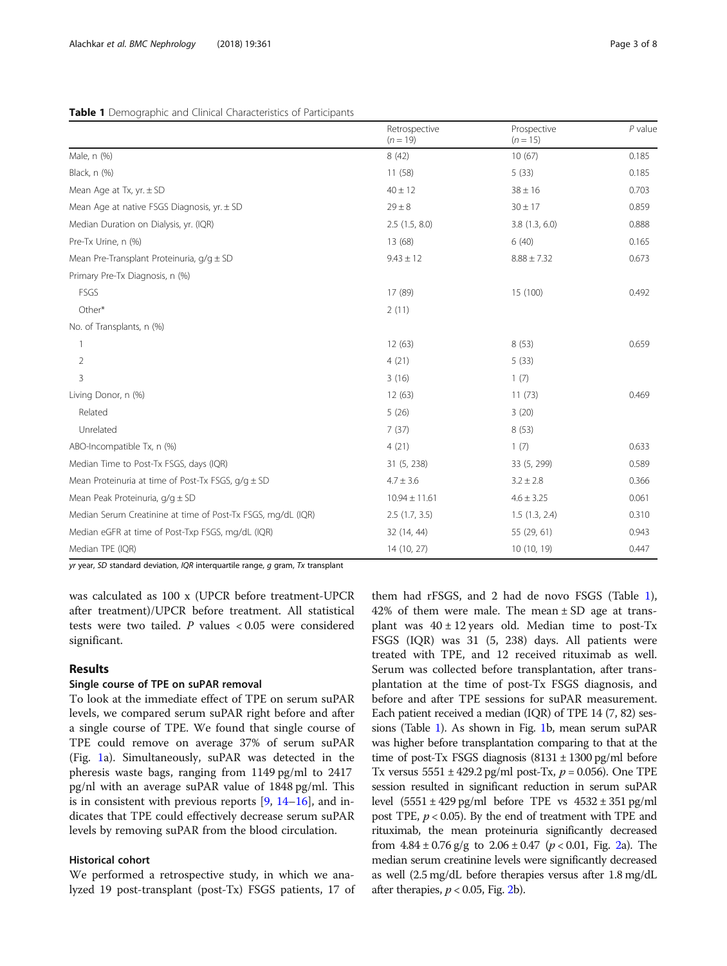|                                                              | Retrospective<br>$(n = 19)$ | Prospective<br>$(n = 15)$ | $P$ value |  |
|--------------------------------------------------------------|-----------------------------|---------------------------|-----------|--|
| Male, n (%)                                                  | 8(42)                       | 10(67)                    | 0.185     |  |
| Black, n (%)                                                 | 11(58)                      | 5(33)                     | 0.185     |  |
| Mean Age at Tx, $yr \pm SD$                                  | $40 \pm 12$                 | $38 \pm 16$               | 0.703     |  |
| Mean Age at native FSGS Diagnosis, $yr \pm SD$               | $29 \pm 8$                  | $30 \pm 17$               | 0.859     |  |
| Median Duration on Dialysis, yr. (IQR)                       | 2.5(1.5, 8.0)               | 3.8(1.3, 6.0)             | 0.888     |  |
| Pre-Tx Urine, n (%)                                          | 13 (68)                     | 6(40)                     | 0.165     |  |
| Mean Pre-Transplant Proteinuria, $q/q \pm SD$                | $9.43 \pm 12$               | $8.88 \pm 7.32$           | 0.673     |  |
| Primary Pre-Tx Diagnosis, n (%)                              |                             |                           |           |  |
| FSGS                                                         | 17 (89)                     | 15 (100)                  | 0.492     |  |
| Other*                                                       | 2(11)                       |                           |           |  |
| No. of Transplants, n (%)                                    |                             |                           |           |  |
|                                                              | 12(63)                      | 8(53)                     | 0.659     |  |
| 2                                                            | 4(21)                       | 5(33)                     |           |  |
| 3                                                            | 3(16)                       | 1(7)                      |           |  |
| Living Donor, n (%)                                          | 12(63)                      | 11(73)                    | 0.469     |  |
| Related                                                      | 5(26)                       | 3(20)                     |           |  |
| Unrelated                                                    | 7(37)                       | 8(53)                     |           |  |
| ABO-Incompatible Tx, n (%)                                   | 4(21)                       | 1(7)                      | 0.633     |  |
| Median Time to Post-Tx FSGS, days (IQR)                      | 31 (5, 238)                 | 33 (5, 299)               | 0.589     |  |
| Mean Proteinuria at time of Post-Tx FSGS, $q/q \pm SD$       | $4.7 \pm 3.6$               | $3.2 \pm 2.8$             | 0.366     |  |
| Mean Peak Proteinuria, g/g ± SD                              | $10.94 \pm 11.61$           | $4.6 \pm 3.25$            | 0.061     |  |
| Median Serum Creatinine at time of Post-Tx FSGS, mg/dL (IQR) | 2.5(1.7, 3.5)               | 1.5(1.3, 2.4)             | 0.310     |  |
| Median eGFR at time of Post-Txp FSGS, mg/dL (IQR)            | 32 (14, 44)                 | 55 (29, 61)               | 0.943     |  |
| Median TPE (IQR)                                             | 14 (10, 27)                 | 10 (10, 19)               | 0.447     |  |

#### <span id="page-2-0"></span>Table 1 Demographic and Clinical Characteristics of Participants

yr year, SD standard deviation, IQR interquartile range,  $g$  gram, Tx transplant

was calculated as 100 x (UPCR before treatment-UPCR after treatment)/UPCR before treatment. All statistical tests were two tailed. P values < 0.05 were considered significant.

## Results

# Single course of TPE on suPAR removal

To look at the immediate effect of TPE on serum suPAR levels, we compared serum suPAR right before and after a single course of TPE. We found that single course of TPE could remove on average 37% of serum suPAR (Fig. [1a](#page-3-0)). Simultaneously, suPAR was detected in the pheresis waste bags, ranging from 1149 pg/ml to 2417 pg/nl with an average suPAR value of 1848 pg/ml. This is in consistent with previous reports  $[9, 14-16]$  $[9, 14-16]$  $[9, 14-16]$  $[9, 14-16]$  $[9, 14-16]$  $[9, 14-16]$ , and indicates that TPE could effectively decrease serum suPAR levels by removing suPAR from the blood circulation.

# Historical cohort

We performed a retrospective study, in which we analyzed 19 post-transplant (post-Tx) FSGS patients, 17 of

them had rFSGS, and 2 had de novo FSGS (Table 1), 42% of them were male. The mean  $\pm$  SD age at transplant was  $40 \pm 12$  years old. Median time to post-Tx FSGS (IQR) was 31 (5, 238) days. All patients were treated with TPE, and 12 received rituximab as well. Serum was collected before transplantation, after transplantation at the time of post-Tx FSGS diagnosis, and before and after TPE sessions for suPAR measurement. Each patient received a median (IQR) of TPE 14 (7, 82) sessions (Table 1). As shown in Fig. [1b](#page-3-0), mean serum suPAR was higher before transplantation comparing to that at the time of post-Tx FSGS diagnosis  $(8131 \pm 1300 \text{ pg/ml})$  before Tx versus  $5551 \pm 429.2$  pg/ml post-Tx,  $p = 0.056$ ). One TPE session resulted in significant reduction in serum suPAR level  $(5551 \pm 429 \text{ pg/ml})$  before TPE vs  $4532 \pm 351 \text{ pg/ml}$ post TPE,  $p < 0.05$ ). By the end of treatment with TPE and rituximab, the mean proteinuria significantly decreased from  $4.84 \pm 0.76$  g/g to  $2.06 \pm 0.47$  $2.06 \pm 0.47$  ( $p < 0.01$ , Fig. 2a). The median serum creatinine levels were significantly decreased as well (2.5 mg/dL before therapies versus after 1.8 mg/dL after therapies,  $p < 0.05$ , Fig. [2b](#page-3-0)).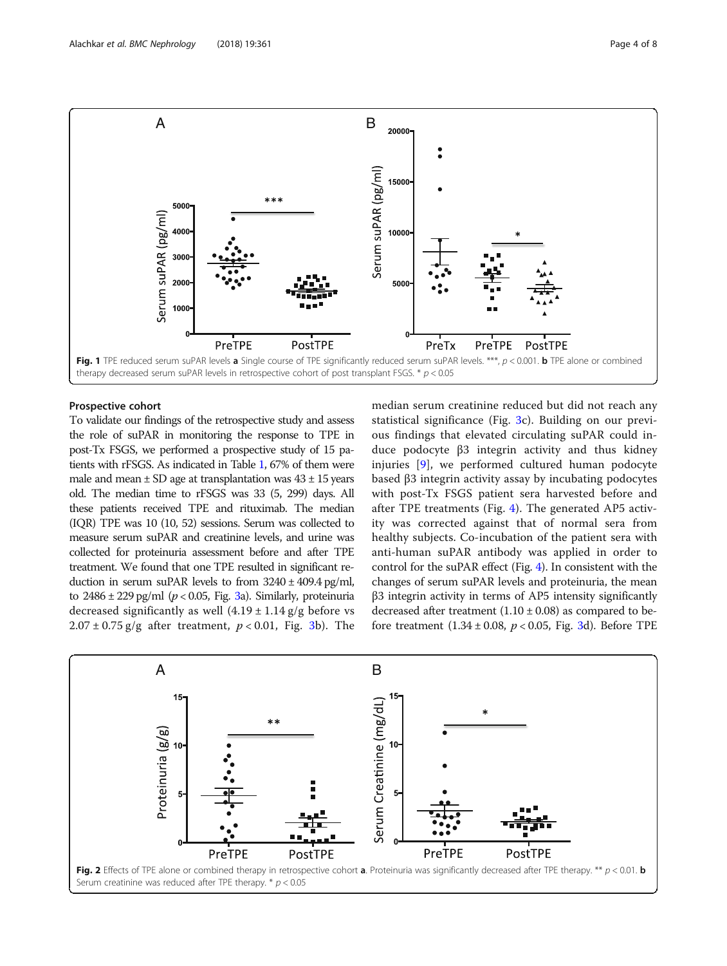<span id="page-3-0"></span>

# Prospective cohort

To validate our findings of the retrospective study and assess the role of suPAR in monitoring the response to TPE in post-Tx FSGS, we performed a prospective study of 15 patients with rFSGS. As indicated in Table [1,](#page-2-0) 67% of them were male and mean  $\pm$  SD age at transplantation was  $43 \pm 15$  years old. The median time to rFSGS was 33 (5, 299) days. All these patients received TPE and rituximab. The median (IQR) TPE was 10 (10, 52) sessions. Serum was collected to measure serum suPAR and creatinine levels, and urine was collected for proteinuria assessment before and after TPE treatment. We found that one TPE resulted in significant reduction in serum suPAR levels to from  $3240 \pm 409.4$  pg/ml, to  $2486 \pm 229$  pg/ml ( $p < 0.05$ , Fig. [3](#page-4-0)a). Similarly, proteinuria decreased significantly as well  $(4.19 \pm 1.14 \text{ g/g})$  before vs  $2.07 \pm 0.75$  g/g after treatment,  $p < 0.01$ , Fig. [3](#page-4-0)b). The median serum creatinine reduced but did not reach any statistical significance (Fig. [3c](#page-4-0)). Building on our previous findings that elevated circulating suPAR could induce podocyte β3 integrin activity and thus kidney injuries [\[9](#page-7-0)], we performed cultured human podocyte based β3 integrin activity assay by incubating podocytes with post-Tx FSGS patient sera harvested before and after TPE treatments (Fig. [4](#page-5-0)). The generated AP5 activity was corrected against that of normal sera from healthy subjects. Co-incubation of the patient sera with anti-human suPAR antibody was applied in order to control for the suPAR effect (Fig. [4\)](#page-5-0). In consistent with the changes of serum suPAR levels and proteinuria, the mean β3 integrin activity in terms of AP5 intensity significantly decreased after treatment  $(1.10 \pm 0.08)$  as compared to before treatment  $(1.34 \pm 0.08, p < 0.05,$  $(1.34 \pm 0.08, p < 0.05,$  $(1.34 \pm 0.08, p < 0.05,$  Fig. 3d). Before TPE

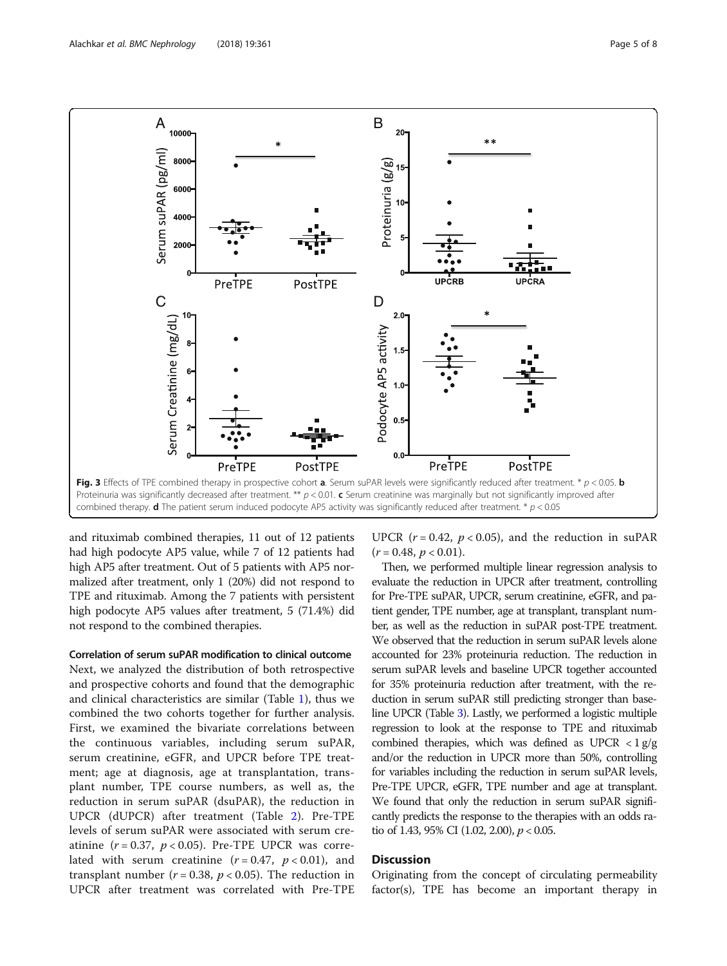<span id="page-4-0"></span>

and rituximab combined therapies, 11 out of 12 patients had high podocyte AP5 value, while 7 of 12 patients had high AP5 after treatment. Out of 5 patients with AP5 normalized after treatment, only 1 (20%) did not respond to TPE and rituximab. Among the 7 patients with persistent high podocyte AP5 values after treatment, 5 (71.4%) did not respond to the combined therapies.

# Correlation of serum suPAR modification to clinical outcome

Next, we analyzed the distribution of both retrospective and prospective cohorts and found that the demographic and clinical characteristics are similar (Table [1\)](#page-2-0), thus we combined the two cohorts together for further analysis. First, we examined the bivariate correlations between the continuous variables, including serum suPAR, serum creatinine, eGFR, and UPCR before TPE treatment; age at diagnosis, age at transplantation, transplant number, TPE course numbers, as well as, the reduction in serum suPAR (dsuPAR), the reduction in UPCR (dUPCR) after treatment (Table [2\)](#page-5-0). Pre-TPE levels of serum suPAR were associated with serum creatinine  $(r = 0.37, p < 0.05)$ . Pre-TPE UPCR was correlated with serum creatinine  $(r = 0.47, p < 0.01)$ , and transplant number ( $r = 0.38$ ,  $p < 0.05$ ). The reduction in UPCR after treatment was correlated with Pre-TPE UPCR ( $r = 0.42$ ,  $p < 0.05$ ), and the reduction in suPAR  $(r = 0.48, p < 0.01).$ 

Then, we performed multiple linear regression analysis to evaluate the reduction in UPCR after treatment, controlling for Pre-TPE suPAR, UPCR, serum creatinine, eGFR, and patient gender, TPE number, age at transplant, transplant number, as well as the reduction in suPAR post-TPE treatment. We observed that the reduction in serum suPAR levels alone accounted for 23% proteinuria reduction. The reduction in serum suPAR levels and baseline UPCR together accounted for 35% proteinuria reduction after treatment, with the reduction in serum suPAR still predicting stronger than baseline UPCR (Table [3](#page-6-0)). Lastly, we performed a logistic multiple regression to look at the response to TPE and rituximab combined therapies, which was defined as UPCR  $\langle 1 \text{ g/g} \rangle$ and/or the reduction in UPCR more than 50%, controlling for variables including the reduction in serum suPAR levels, Pre-TPE UPCR, eGFR, TPE number and age at transplant. We found that only the reduction in serum suPAR significantly predicts the response to the therapies with an odds ratio of 1.43, 95% CI (1.02, 2.00),  $p < 0.05$ .

# **Discussion**

Originating from the concept of circulating permeability factor(s), TPE has become an important therapy in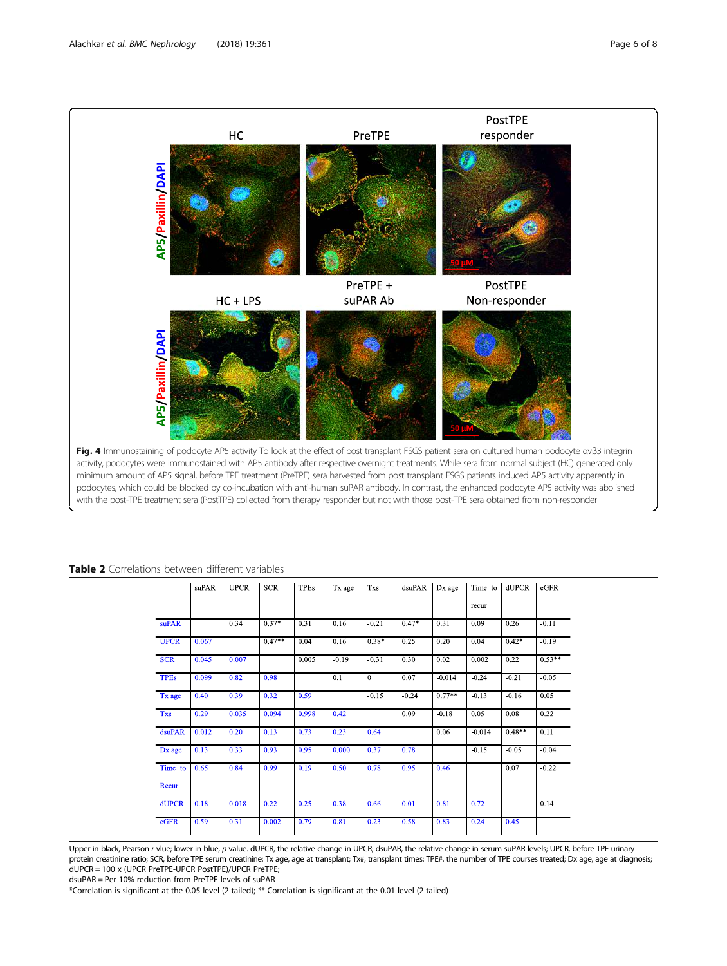<span id="page-5-0"></span>

Table 2 Correlations between different variables

|             | suPAR | <b>UPCR</b> | <b>SCR</b> | <b>TPEs</b> | Tx age  | <b>Txs</b> | dsuPAR  | Dx age   | Time to  | <b>dUPCR</b> | eGFR     |
|-------------|-------|-------------|------------|-------------|---------|------------|---------|----------|----------|--------------|----------|
|             |       |             |            |             |         |            |         |          | recur    |              |          |
| suPAR       |       | 0.34        | $0.37*$    | 0.31        | 0.16    | $-0.21$    | $0.47*$ | 0.31     | 0.09     | 0.26         | $-0.11$  |
| <b>UPCR</b> | 0.067 |             | $0.47**$   | 0.04        | 0.16    | $0.38*$    | 0.25    | 0.20     | 0.04     | $0.42*$      | $-0.19$  |
| <b>SCR</b>  | 0.045 | 0.007       |            | 0.005       | $-0.19$ | $-0.31$    | 0.30    | 0.02     | 0.002    | 0.22         | $0.53**$ |
| <b>TPEs</b> | 0.099 | 0.82        | 0.98       |             | 0.1     | $\theta$   | 0.07    | $-0.014$ | $-0.24$  | $-0.21$      | $-0.05$  |
| Tx age      | 0.40  | 0.39        | 0.32       | 0.59        |         | $-0.15$    | $-0.24$ | $0.77**$ | $-0.13$  | $-0.16$      | 0.05     |
| <b>Txs</b>  | 0.29  | 0.035       | 0.094      | 0.998       | 0.42    |            | 0.09    | $-0.18$  | 0.05     | 0.08         | 0.22     |
| dsuPAR      | 0.012 | 0.20        | 0.13       | 0.73        | 0.23    | 0.64       |         | 0.06     | $-0.014$ | $0.48**$     | 0.11     |
| Dx age      | 0.13  | 0.33        | 0.93       | 0.95        | 0.000   | 0.37       | 0.78    |          | $-0.15$  | $-0.05$      | $-0.04$  |
| Time to     | 0.65  | 0.84        | 0.99       | 0.19        | 0.50    | 0.78       | 0.95    | 0.46     |          | 0.07         | $-0.22$  |
| Recur       |       |             |            |             |         |            |         |          |          |              |          |
| dUPCR       | 0.18  | 0.018       | 0.22       | 0.25        | 0.38    | 0.66       | 0.01    | 0.81     | 0.72     |              | 0.14     |
| eGFR        | 0.59  | 0.31        | 0.002      | 0.79        | 0.81    | 0.23       | 0.58    | 0.83     | 0.24     | 0.45         |          |

Upper in black, Pearson r vlue; lower in blue, p value. dUPCR, the relative change in UPCR; dsuPAR, the relative change in serum suPAR levels; UPCR, before TPE urinary protein creatinine ratio; SCR, before TPE serum creatinine; Tx age, age at transplant; Tx#, transplant times; TPE#, the number of TPE courses treated; Dx age, age at diagnosis; dUPCR = 100 x (UPCR PreTPE-UPCR PostTPE)/UPCR PreTPE; dsuPAR = Per 10% reduction from PreTPE levels of suPAR

\*Correlation is significant at the 0.05 level (2-tailed); \*\* Correlation is significant at the 0.01 level (2-tailed)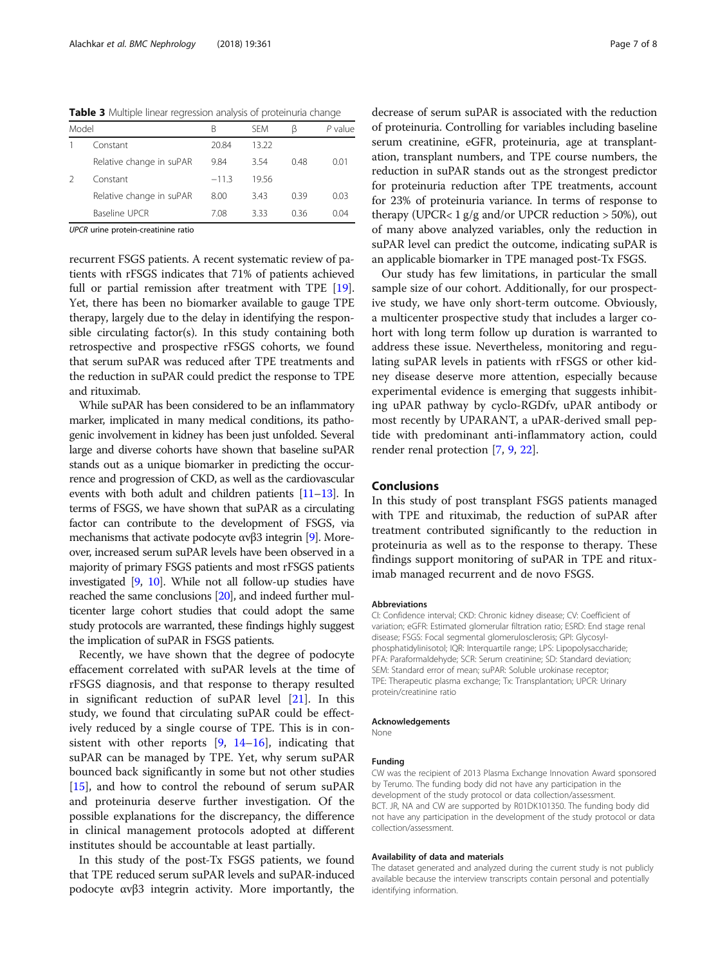<span id="page-6-0"></span>Table 3 Multiple linear regression analysis of proteinuria change

| Model |                          | В       | <b>SFM</b> | ß    | P value |
|-------|--------------------------|---------|------------|------|---------|
|       | Constant                 | 20.84   | 13.22      |      |         |
|       | Relative change in suPAR | 9.84    | 3.54       | 0.48 | 0.01    |
|       | Constant                 | $-11.3$ | 1956       |      |         |
|       | Relative change in suPAR | 8.00    | 3.43       | 0.39 | 0.03    |
|       | Baseline UPCR            | 7.08    | 333        | 036  | 0.04    |
|       |                          |         |            |      |         |

UPCR urine protein-creatinine ratio

recurrent FSGS patients. A recent systematic review of patients with rFSGS indicates that 71% of patients achieved full or partial remission after treatment with TPE [[19](#page-7-0)]. Yet, there has been no biomarker available to gauge TPE therapy, largely due to the delay in identifying the responsible circulating factor(s). In this study containing both retrospective and prospective rFSGS cohorts, we found that serum suPAR was reduced after TPE treatments and the reduction in suPAR could predict the response to TPE and rituximab.

While suPAR has been considered to be an inflammatory marker, implicated in many medical conditions, its pathogenic involvement in kidney has been just unfolded. Several large and diverse cohorts have shown that baseline suPAR stands out as a unique biomarker in predicting the occurrence and progression of CKD, as well as the cardiovascular events with both adult and children patients [\[11](#page-7-0)–[13\]](#page-7-0). In terms of FSGS, we have shown that suPAR as a circulating factor can contribute to the development of FSGS, via mechanisms that activate podocyte αvβ3 integrin [\[9](#page-7-0)]. Moreover, increased serum suPAR levels have been observed in a majority of primary FSGS patients and most rFSGS patients investigated [\[9,](#page-7-0) [10\]](#page-7-0). While not all follow-up studies have reached the same conclusions [\[20](#page-7-0)], and indeed further multicenter large cohort studies that could adopt the same study protocols are warranted, these findings highly suggest the implication of suPAR in FSGS patients.

Recently, we have shown that the degree of podocyte effacement correlated with suPAR levels at the time of rFSGS diagnosis, and that response to therapy resulted in significant reduction of suPAR level [[21](#page-7-0)]. In this study, we found that circulating suPAR could be effectively reduced by a single course of TPE. This is in consistent with other reports  $[9, 14-16]$  $[9, 14-16]$  $[9, 14-16]$  $[9, 14-16]$  $[9, 14-16]$ , indicating that suPAR can be managed by TPE. Yet, why serum suPAR bounced back significantly in some but not other studies [[15\]](#page-7-0), and how to control the rebound of serum suPAR and proteinuria deserve further investigation. Of the possible explanations for the discrepancy, the difference in clinical management protocols adopted at different institutes should be accountable at least partially.

In this study of the post-Tx FSGS patients, we found that TPE reduced serum suPAR levels and suPAR-induced podocyte αvβ3 integrin activity. More importantly, the

decrease of serum suPAR is associated with the reduction of proteinuria. Controlling for variables including baseline serum creatinine, eGFR, proteinuria, age at transplantation, transplant numbers, and TPE course numbers, the reduction in suPAR stands out as the strongest predictor for proteinuria reduction after TPE treatments, account for 23% of proteinuria variance. In terms of response to therapy (UPCR< 1  $g/g$  and/or UPCR reduction > 50%), out of many above analyzed variables, only the reduction in suPAR level can predict the outcome, indicating suPAR is an applicable biomarker in TPE managed post-Tx FSGS.

Our study has few limitations, in particular the small sample size of our cohort. Additionally, for our prospective study, we have only short-term outcome. Obviously, a multicenter prospective study that includes a larger cohort with long term follow up duration is warranted to address these issue. Nevertheless, monitoring and regulating suPAR levels in patients with rFSGS or other kidney disease deserve more attention, especially because experimental evidence is emerging that suggests inhibiting uPAR pathway by cyclo-RGDfv, uPAR antibody or most recently by UPARANT, a uPAR-derived small peptide with predominant anti-inflammatory action, could render renal protection [\[7](#page-7-0), [9](#page-7-0), [22](#page-7-0)].

# Conclusions

In this study of post transplant FSGS patients managed with TPE and rituximab, the reduction of suPAR after treatment contributed significantly to the reduction in proteinuria as well as to the response to therapy. These findings support monitoring of suPAR in TPE and rituximab managed recurrent and de novo FSGS.

#### Abbreviations

CI: Confidence interval; CKD: Chronic kidney disease; CV: Coefficient of variation; eGFR: Estimated glomerular filtration ratio; ESRD: End stage renal disease; FSGS: Focal segmental glomerulosclerosis; GPI: Glycosylphosphatidylinisotol; IQR: Interquartile range; LPS: Lipopolysaccharide; PFA: Paraformaldehyde; SCR: Serum creatinine; SD: Standard deviation; SEM: Standard error of mean; suPAR: Soluble urokinase receptor; TPE: Therapeutic plasma exchange; Tx: Transplantation; UPCR: Urinary protein/creatinine ratio

#### Acknowledgements

None

#### Funding

CW was the recipient of 2013 Plasma Exchange Innovation Award sponsored by Terumo. The funding body did not have any participation in the development of the study protocol or data collection/assessment. BCT. JR, NA and CW are supported by R01DK101350. The funding body did not have any participation in the development of the study protocol or data collection/assessment.

#### Availability of data and materials

The dataset generated and analyzed during the current study is not publicly available because the interview transcripts contain personal and potentially identifying information.